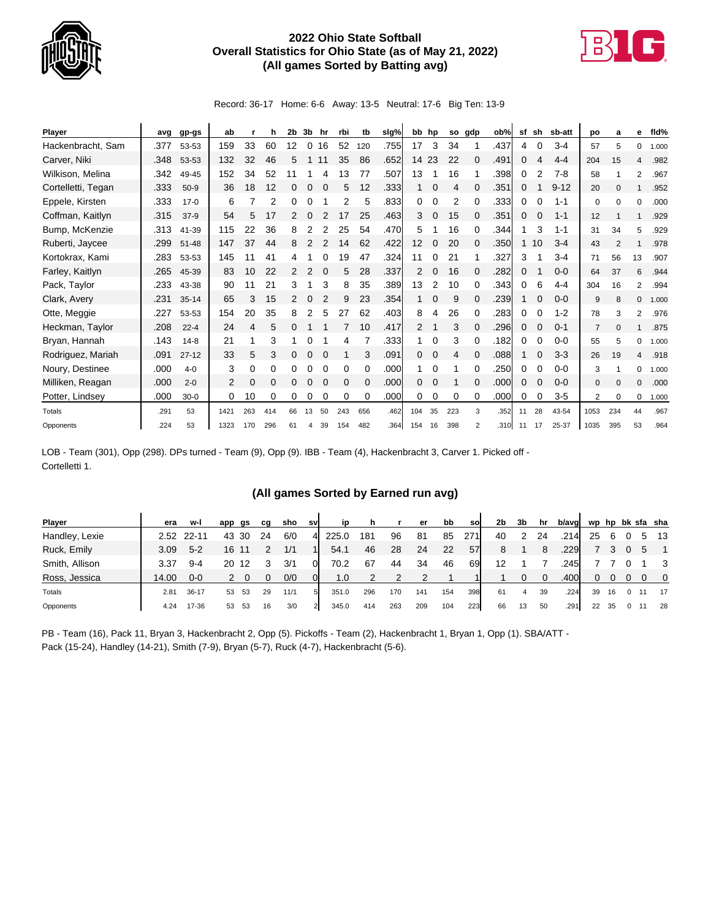

## **2022 Ohio State Softball Overall Statistics for Ohio State (as of May 21, 2022) (All games Sorted by Batting avg)**



Record: 36-17 Home: 6-6 Away: 13-5 Neutral: 17-6 Big Ten: 13-9

| Player             | avg  | gp-gs     | ab   |     | h        | 2b | 3b | hr | rbi | tb  | slg% |                | bb hp | so  | gdp            | ob%  | sf | sh | sb-att   | po             | a        | е            | fld%  |
|--------------------|------|-----------|------|-----|----------|----|----|----|-----|-----|------|----------------|-------|-----|----------------|------|----|----|----------|----------------|----------|--------------|-------|
| Hackenbracht, Sam  | .377 | 53-53     | 159  | 33  | 60       | 12 | 0  | 16 | 52  | 120 | .755 | 17             | 3     | 34  |                | .437 | 4  |    | $3 - 4$  | 57             | 5        | 0            | 1.000 |
| Carver, Niki       | .348 | 53-53     | 132  | 32  | 46       | 5  |    |    | 35  | 86  | .652 | 14             | 23    | 22  | 0              | .491 | 0  |    | $4 - 4$  | 204            | 15       | 4            | .982  |
| Wilkison, Melina   | .342 | 49-45     | 152  | 34  | 52       |    |    | 4  | 13  | 77  | .507 | 13             |       | 16  |                | .398 | 0  |    | $7-8$    | 58             |          | 2            | .967  |
| Cortelletti, Tegan | .333 | $50-9$    | 36   | 18  | 12       | 0  | 0  |    | 5   | 12  | .333 | $\mathbf{1}$   | 0     | 4   | 0              | .351 | 0  |    | $9 - 12$ | 20             | $\Omega$ |              | .952  |
| Eppele, Kirsten    | .333 | $17-0$    | 6    | 7   | 2        | 0  | 0  |    | 2   | 5   | .833 | 0              | 0     | 2   | 0              | .333 | 0  |    | $1 - 1$  | 0              | 0        | $\Omega$     | .000  |
| Coffman, Kaitlyn   | .315 | $37-9$    | 54   | 5   | 17       | 2  | 0  | 2  | 17  | 25  | .463 | 3              | 0     | 15  | 0              | .351 | 0  |    | $1 - 1$  | 12             |          |              | .929  |
| Bump, McKenzie     | .313 | 41-39     | 115  | 22  | 36       | 8  |    |    | 25  | 54  | .470 | 5              |       | 16  | 0              | .344 |    | 3  | $1 - 1$  | 31             | 34       | 5            | .929  |
| Ruberti, Jaycee    | .299 | $51 - 48$ | 147  | 37  | 44       | 8  |    |    | 4   | 62  | .422 | 12             | 0     | 20  | 0              | .350 |    | 10 | $3 - 4$  | 43             |          |              | .978  |
| Kortokrax, Kami    | .283 | 53-53     | 145  | 11  | 41       |    |    |    | 19  | 47  | .324 | 11             | 0     | 21  |                | .327 | 3  |    | $3 - 4$  | 71             | 56       | 13           | .907  |
| Farley, Kaitlyn    | .265 | 45-39     | 83   | 10  | 22       | 2  | 2  | 0  | 5   | 28  | .337 | 2              | 0     | 16  | 0              | .282 | 0  |    | $0 - 0$  | 64             | 37       | 6            | .944  |
| Pack, Taylor       | .233 | 43-38     | 90   | 11  | 21       | 3  |    | 3  | 8   | 35  | .389 | 13             | 2     | 10  | 0              | .343 | 0  | 6  | $4 - 4$  | 304            | 16       | 2            | .994  |
| Clark, Avery       | .231 | $35 - 14$ | 65   | 3   | 15       |    | 0  |    | 9   | 23  | .354 | $\mathbf{1}$   | 0     | 9   | 0              | .239 |    |    | $0-0$    | 9              | 8        | $\mathbf{0}$ | 1.000 |
| Otte, Meggie       | .227 | 53-53     | 154  | 20  | 35       | 8  | 2  | 5  | 27  | 62  | .403 | 8              | 4     | 26  | 0              | .283 | 0  | 0  | $1 - 2$  | 78             | 3        | 2            | .976  |
| Heckman, Taylor    | .208 | $22 - 4$  | 24   | 4   | 5        | 0  |    |    |     | 10  | .417 | $\overline{2}$ |       | 3   | 0              | .296 | 0  |    | $0 - 1$  | $\overline{7}$ | $\Omega$ |              | .875  |
| Bryan, Hannah      | .143 | $14 - 8$  | 21   |     | 3        |    | ი  |    |     |     | .333 | 1.             | 0     | 3   | 0              | .182 | 0  |    | $0 - 0$  | 55             | 5        | 0            | 1.000 |
| Rodriguez, Mariah  | .091 | $27 - 12$ | 33   | 5   | 3        | 0  | 0  |    |     | 3   | .091 | 0              | 0     | 4   | $\Omega$       | .088 |    |    | $3 - 3$  | 26             | 19       | 4            | .918  |
| Noury, Destinee    | .000 | $4 - 0$   | 3    | 0   | 0        | 0  | 0  |    | 0   | 0   | .000 | 1              | 0     |     | 0              | .250 | 0  |    | $0 - 0$  | 3              |          | 0            | 1.000 |
| Milliken, Reagan   | .000 | $2 - 0$   | 2    | 0   | $\Omega$ | 0  | 0  | 0  | 0   | 0   | .000 | 0              | 0     |     | 0              | .000 | 0  | 0  | $0 - 0$  | $\mathbf{0}$   | $\Omega$ | $\Omega$     | .000  |
| Potter, Lindsey    | .000 | $30-0$    | 0    | 10  | 0        | 0  | 0  |    | 0   | 0   | .000 | 0              | 0     | 0   | 0              | .000 | 0  | 0  | $3-5$    | $\overline{2}$ | $\Omega$ | 0            | 1.000 |
| Totals             | .291 | 53        | 1421 | 263 | 414      | 66 | 13 | 50 | 243 | 656 | .462 | 104            | 35    | 223 | 3              | .352 | 11 | 28 | 43-54    | 1053           | 234      | 44           | .967  |
| Opponents          | .224 | 53        | 1323 | 170 | 296      | 61 | 4  | 39 | 154 | 482 | .364 | 154            | 16    | 398 | $\overline{2}$ | .310 | 11 | 17 | 25-37    | 1035           | 395      | 53           | .964  |

LOB - Team (301), Opp (298). DPs turned - Team (9), Opp (9). IBB - Team (4), Hackenbracht 3, Carver 1. Picked off - Cortelletti 1.

## **(All games Sorted by Earned run avg)**

| <b>Player</b>  | era   | w-l        | app | gs  | cq | sho  | sv | ip    | h   |     | er  | bb  | sol | 2b | 3b | hr       | b/avg |    |    |   |   | wp hp bk sfa sha |
|----------------|-------|------------|-----|-----|----|------|----|-------|-----|-----|-----|-----|-----|----|----|----------|-------|----|----|---|---|------------------|
| Handley, Lexie |       | 2.52 22-11 | 43  | 30  | 24 | 6/0  | 4  | 225.0 | 181 | 96  | 81  | 85  | 271 | 40 |    | 24       | .214  | 25 | 6  |   |   | 5 13             |
| Ruck, Emily    | 3.09  | $5 - 2$    | 16  |     |    | 1/1  |    | 54.1  | 46  | 28  | 24  | 22  | 57  | 8  |    | 8        | .229  |    |    |   | 5 |                  |
| Smith, Allison | 3.37  | $9 - 4$    | 20  | 12  |    | 3/1  | 0  | 70.2  | 67  | 44  | 34  | 46  | 69  | 12 |    |          | 245   |    |    |   |   | - 3              |
| Ross, Jessica  | 14.00 | 0-0        |     |     |    | 0/0  |    | 1.0   |     |     |     |     |     |    |    | $\Omega$ | .400  | 0  |    |   |   | $\overline{0}$   |
| Totals         | 2.81  | 36-17      | 53  | 53  | 29 | 11/1 | 5  | 351.0 | 296 | 170 | 141 | 154 | 398 | 61 | 4  | 39       | .224  | 39 | 16 | 0 |   | 17               |
| Opponents      | 4.24  | 17-36      | 53  | -53 | 16 | 3/0  | 2  | 345.0 | 414 | 263 | 209 | 104 | 223 | 66 | 13 | 50       | .291  | 22 | 35 | 0 |   | - 28             |

PB - Team (16), Pack 11, Bryan 3, Hackenbracht 2, Opp (5). Pickoffs - Team (2), Hackenbracht 1, Bryan 1, Opp (1). SBA/ATT - Pack (15-24), Handley (14-21), Smith (7-9), Bryan (5-7), Ruck (4-7), Hackenbracht (5-6).